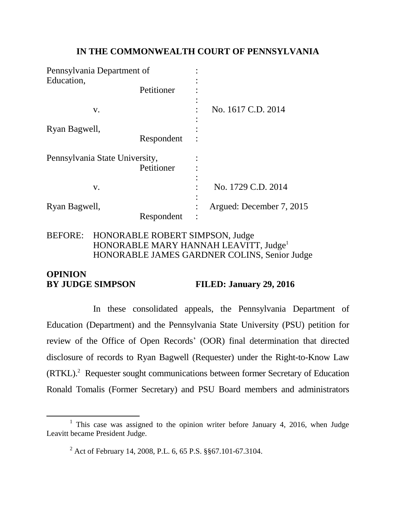## **IN THE COMMONWEALTH COURT OF PENNSYLVANIA**

| Pennsylvania Department of     |            |                          |
|--------------------------------|------------|--------------------------|
| Education,                     |            |                          |
|                                | Petitioner |                          |
| V.                             |            | No. 1617 C.D. 2014       |
| Ryan Bagwell,                  |            |                          |
|                                | Respondent |                          |
| Pennsylvania State University, |            |                          |
|                                | Petitioner |                          |
| V.                             |            | No. 1729 C.D. 2014       |
| Ryan Bagwell,                  |            | Argued: December 7, 2015 |
|                                | Respondent |                          |

## BEFORE: HONORABLE ROBERT SIMPSON, Judge HONORABLE MARY HANNAH LEAVITT, Judge<sup>1</sup> HONORABLE JAMES GARDNER COLINS, Senior Judge

# **OPINION BY JUDGE SIMPSON FILED: January 29, 2016**

In these consolidated appeals, the Pennsylvania Department of Education (Department) and the Pennsylvania State University (PSU) petition for review of the Office of Open Records' (OOR) final determination that directed disclosure of records to Ryan Bagwell (Requester) under the Right-to-Know Law (RTKL).<sup>2</sup> Requester sought communications between former Secretary of Education Ronald Tomalis (Former Secretary) and PSU Board members and administrators

l

<sup>&</sup>lt;sup>1</sup> This case was assigned to the opinion writer before January 4, 2016, when Judge Leavitt became President Judge.

<sup>2</sup> Act of February 14, 2008, P.L. 6, 65 P.S. §§67.101-67.3104.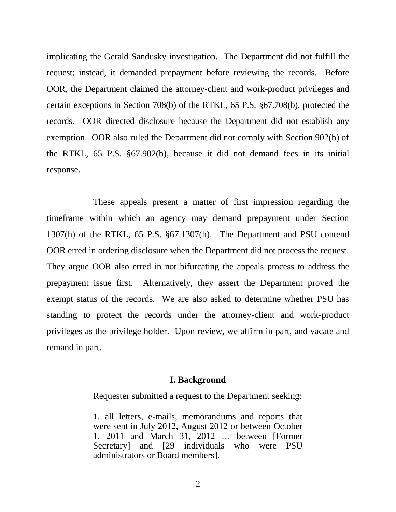implicating the Gerald Sandusky investigation. The Department did not fulfill the request; instead, it demanded prepayment before reviewing the records. Before OOR, the Department claimed the attorney-client and work-product privileges and certain exceptions in Section 708(b) of the RTKL, 65 P.S. §67.708(b), protected the records. OOR directed disclosure because the Department did not establish any exemption. OOR also ruled the Department did not comply with Section 902(b) of the RTKL, 65 P.S. §67.902(b), because it did not demand fees in its initial response.

These appeals present a matter of first impression regarding the timeframe within which an agency may demand prepayment under Section 1307(h) of the RTKL, 65 P.S. §67.1307(h). The Department and PSU contend OOR erred in ordering disclosure when the Department did not process the request. They argue OOR also erred in not bifurcating the appeals process to address the prepayment issue first. Alternatively, they assert the Department proved the exempt status of the records. We are also asked to determine whether PSU has standing to protect the records under the attorney-client and work-product privileges as the privilege holder. Upon review, we affirm in part, and vacate and remand in part.

#### **I. Background**

Requester submitted a request to the Department seeking:

1. all letters, e-mails, memorandums and reports that were sent in July 2012, August 2012 or between October 1, 2011 and March 31, 2012 … between [Former Secretary] and [29 individuals who were PSU administrators or Board members].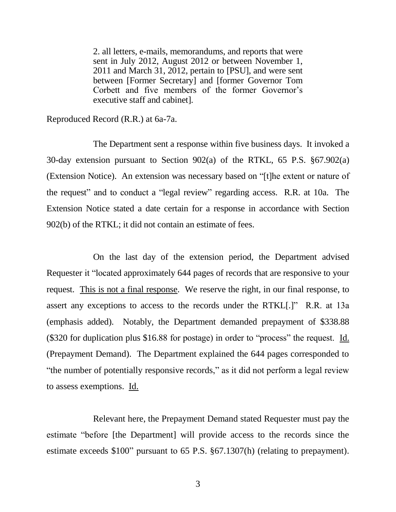2. all letters, e-mails, memorandums, and reports that were sent in July 2012, August 2012 or between November 1, 2011 and March 31, 2012, pertain to [PSU], and were sent between [Former Secretary] and [former Governor Tom Corbett and five members of the former Governor's executive staff and cabinet].

Reproduced Record (R.R.) at 6a-7a.

The Department sent a response within five business days. It invoked a 30-day extension pursuant to Section 902(a) of the RTKL, 65 P.S. §67.902(a) (Extension Notice). An extension was necessary based on "[t]he extent or nature of the request" and to conduct a "legal review" regarding access. R.R. at 10a. The Extension Notice stated a date certain for a response in accordance with Section 902(b) of the RTKL; it did not contain an estimate of fees.

On the last day of the extension period, the Department advised Requester it "located approximately 644 pages of records that are responsive to your request. This is not a final response. We reserve the right, in our final response, to assert any exceptions to access to the records under the RTKL[.]" R.R. at 13a (emphasis added). Notably, the Department demanded prepayment of \$338.88 (\$320 for duplication plus \$16.88 for postage) in order to "process" the request. Id. (Prepayment Demand). The Department explained the 644 pages corresponded to "the number of potentially responsive records," as it did not perform a legal review to assess exemptions. Id.

Relevant here, the Prepayment Demand stated Requester must pay the estimate "before [the Department] will provide access to the records since the estimate exceeds \$100" pursuant to 65 P.S. §67.1307(h) (relating to prepayment).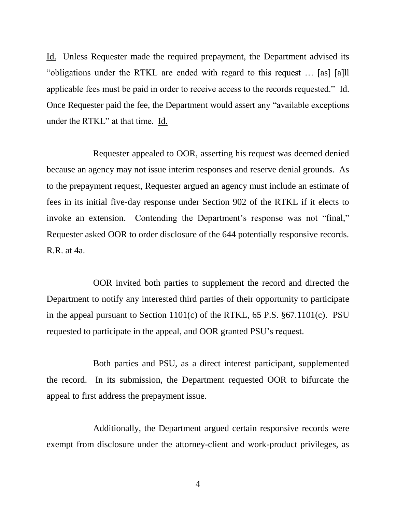Id. Unless Requester made the required prepayment, the Department advised its "obligations under the RTKL are ended with regard to this request … [as] [a]ll applicable fees must be paid in order to receive access to the records requested." Id. Once Requester paid the fee, the Department would assert any "available exceptions under the RTKL" at that time. Id.

Requester appealed to OOR, asserting his request was deemed denied because an agency may not issue interim responses and reserve denial grounds. As to the prepayment request, Requester argued an agency must include an estimate of fees in its initial five-day response under Section 902 of the RTKL if it elects to invoke an extension. Contending the Department's response was not "final," Requester asked OOR to order disclosure of the 644 potentially responsive records. R.R. at 4a.

OOR invited both parties to supplement the record and directed the Department to notify any interested third parties of their opportunity to participate in the appeal pursuant to Section 1101(c) of the RTKL, 65 P.S. §67.1101(c). PSU requested to participate in the appeal, and OOR granted PSU's request.

Both parties and PSU, as a direct interest participant, supplemented the record. In its submission, the Department requested OOR to bifurcate the appeal to first address the prepayment issue.

Additionally, the Department argued certain responsive records were exempt from disclosure under the attorney-client and work-product privileges, as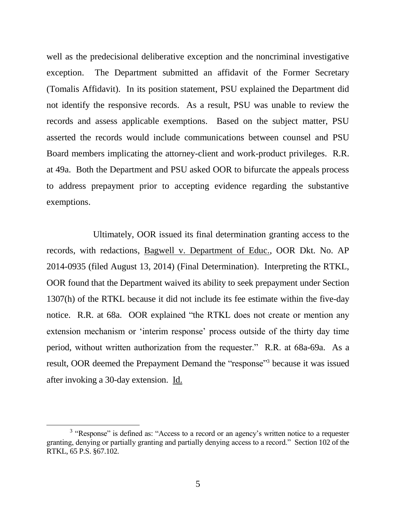well as the predecisional deliberative exception and the noncriminal investigative exception. The Department submitted an affidavit of the Former Secretary (Tomalis Affidavit). In its position statement, PSU explained the Department did not identify the responsive records. As a result, PSU was unable to review the records and assess applicable exemptions. Based on the subject matter, PSU asserted the records would include communications between counsel and PSU Board members implicating the attorney-client and work-product privileges. R.R. at 49a. Both the Department and PSU asked OOR to bifurcate the appeals process to address prepayment prior to accepting evidence regarding the substantive exemptions.

Ultimately, OOR issued its final determination granting access to the records, with redactions, Bagwell v. Department of Educ., OOR Dkt. No. AP 2014-0935 (filed August 13, 2014) (Final Determination). Interpreting the RTKL, OOR found that the Department waived its ability to seek prepayment under Section 1307(h) of the RTKL because it did not include its fee estimate within the five-day notice. R.R. at 68a. OOR explained "the RTKL does not create or mention any extension mechanism or 'interim response' process outside of the thirty day time period, without written authorization from the requester." R.R. at 68a-69a. As a result, OOR deemed the Prepayment Demand the "response"<sup>3</sup> because it was issued after invoking a 30-day extension. Id.

l

 $3$  "Response" is defined as: "Access to a record or an agency's written notice to a requester granting, denying or partially granting and partially denying access to a record." Section 102 of the RTKL, 65 P.S. §67.102.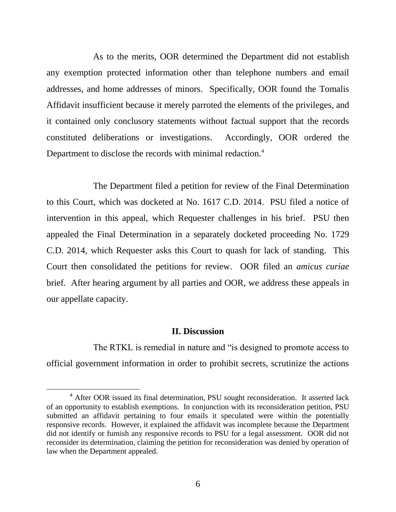As to the merits, OOR determined the Department did not establish any exemption protected information other than telephone numbers and email addresses, and home addresses of minors. Specifically, OOR found the Tomalis Affidavit insufficient because it merely parroted the elements of the privileges, and it contained only conclusory statements without factual support that the records constituted deliberations or investigations. Accordingly, OOR ordered the Department to disclose the records with minimal redaction.<sup>4</sup>

The Department filed a petition for review of the Final Determination to this Court, which was docketed at No. 1617 C.D. 2014. PSU filed a notice of intervention in this appeal, which Requester challenges in his brief. PSU then appealed the Final Determination in a separately docketed proceeding No. 1729 C.D. 2014, which Requester asks this Court to quash for lack of standing. This Court then consolidated the petitions for review. OOR filed an *amicus curiae* brief. After hearing argument by all parties and OOR, we address these appeals in our appellate capacity.

### **II. Discussion**

The RTKL is remedial in nature and "is designed to promote access to official government information in order to prohibit secrets, scrutinize the actions

 $\overline{a}$ 

<sup>&</sup>lt;sup>4</sup> After OOR issued its final determination, PSU sought reconsideration. It asserted lack of an opportunity to establish exemptions. In conjunction with its reconsideration petition, PSU submitted an affidavit pertaining to four emails it speculated were within the potentially responsive records. However, it explained the affidavit was incomplete because the Department did not identify or furnish any responsive records to PSU for a legal assessment. OOR did not reconsider its determination, claiming the petition for reconsideration was denied by operation of law when the Department appealed.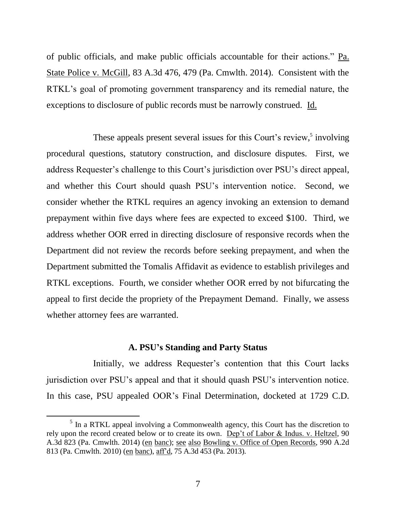of public officials, and make public officials accountable for their actions." Pa. State Police v. McGill, 83 A.3d 476, 479 (Pa. Cmwlth. 2014). Consistent with the RTKL's goal of promoting government transparency and its remedial nature, the exceptions to disclosure of public records must be narrowly construed. Id.

These appeals present several issues for this Court's review,<sup>5</sup> involving procedural questions, statutory construction, and disclosure disputes. First, we address Requester's challenge to this Court's jurisdiction over PSU's direct appeal, and whether this Court should quash PSU's intervention notice. Second, we consider whether the RTKL requires an agency invoking an extension to demand prepayment within five days where fees are expected to exceed \$100. Third, we address whether OOR erred in directing disclosure of responsive records when the Department did not review the records before seeking prepayment, and when the Department submitted the Tomalis Affidavit as evidence to establish privileges and RTKL exceptions. Fourth, we consider whether OOR erred by not bifurcating the appeal to first decide the propriety of the Prepayment Demand. Finally, we assess whether attorney fees are warranted.

## **A. PSU's Standing and Party Status**

Initially, we address Requester's contention that this Court lacks jurisdiction over PSU's appeal and that it should quash PSU's intervention notice. In this case, PSU appealed OOR's Final Determination, docketed at 1729 C.D.

l

<sup>&</sup>lt;sup>5</sup> In a RTKL appeal involving a Commonwealth agency, this Court has the discretion to rely upon the record created below or to create its own. Dep't of Labor & Indus. v. Heltzel, 90 A.3d 823 (Pa. Cmwlth. 2014) (en banc); see also Bowling v. Office of Open Records, 990 A.2d 813 (Pa. Cmwlth. 2010) (en banc), aff'd, 75 A.3d 453 (Pa. 2013).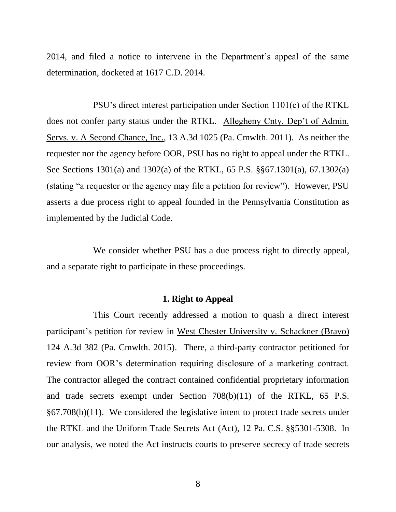2014, and filed a notice to intervene in the Department's appeal of the same determination, docketed at 1617 C.D. 2014.

PSU's direct interest participation under Section 1101(c) of the RTKL does not confer party status under the RTKL. Allegheny Cnty. Dep't of Admin. Servs. v. A Second Chance, Inc., 13 A.3d 1025 (Pa. Cmwlth. 2011). As neither the requester nor the agency before OOR, PSU has no right to appeal under the RTKL. See Sections 1301(a) and 1302(a) of the RTKL, 65 P.S. §§67.1301(a), 67.1302(a) (stating "a requester or the agency may file a petition for review"). However, PSU asserts a due process right to appeal founded in the Pennsylvania Constitution as implemented by the Judicial Code.

We consider whether PSU has a due process right to directly appeal, and a separate right to participate in these proceedings.

### **1. Right to Appeal**

This Court recently addressed a motion to quash a direct interest participant's petition for review in West Chester University v. Schackner (Bravo) 124 A.3d 382 (Pa. Cmwlth. 2015). There, a third-party contractor petitioned for review from OOR's determination requiring disclosure of a marketing contract. The contractor alleged the contract contained confidential proprietary information and trade secrets exempt under Section 708(b)(11) of the RTKL, 65 P.S. §67.708(b)(11). We considered the legislative intent to protect trade secrets under the RTKL and the Uniform Trade Secrets Act (Act), 12 Pa. C.S. §§5301-5308. In our analysis, we noted the Act instructs courts to preserve secrecy of trade secrets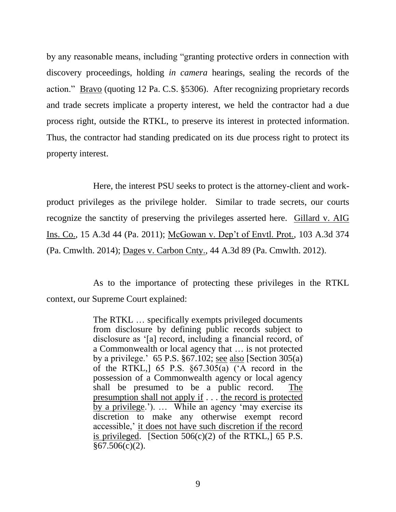by any reasonable means, including "granting protective orders in connection with discovery proceedings, holding *in camera* hearings, sealing the records of the action." Bravo (quoting 12 Pa. C.S. §5306). After recognizing proprietary records and trade secrets implicate a property interest, we held the contractor had a due process right, outside the RTKL, to preserve its interest in protected information. Thus, the contractor had standing predicated on its due process right to protect its property interest.

Here, the interest PSU seeks to protect is the attorney-client and workproduct privileges as the privilege holder. Similar to trade secrets, our courts recognize the sanctity of preserving the privileges asserted here. Gillard v. AIG Ins. Co., 15 A.3d 44 (Pa. 2011); McGowan v. Dep't of Envtl. Prot., 103 A.3d 374 (Pa. Cmwlth. 2014); Dages v. Carbon Cnty., 44 A.3d 89 (Pa. Cmwlth. 2012).

As to the importance of protecting these privileges in the RTKL context, our Supreme Court explained:

> The RTKL … specifically exempts privileged documents from disclosure by defining public records subject to disclosure as '[a] record, including a financial record, of a Commonwealth or local agency that … is not protected by a privilege.'  $65$  P.S.  $\S67.102$ ; see also [Section 305(a) of the RTKL,] 65 P.S. §67.305(a) ('A record in the possession of a Commonwealth agency or local agency shall be presumed to be a public record. The presumption shall not apply if . . . the record is protected by a privilege.'). … While an agency 'may exercise its discretion to make any otherwise exempt record accessible,' it does not have such discretion if the record is privileged. [Section  $506(c)(2)$  of the RTKL,]  $\overline{65}$  P.S.  $§67.506(c)(2)$ .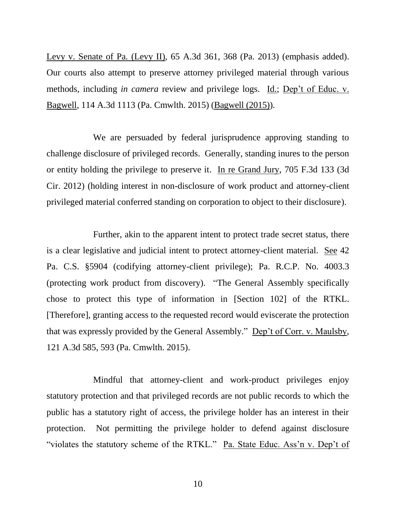Levy v. Senate of Pa. (Levy II), 65 A.3d 361, 368 (Pa. 2013) (emphasis added). Our courts also attempt to preserve attorney privileged material through various methods, including *in camera* review and privilege logs. Id.; Dep't of Educ. v. Bagwell, 114 A.3d 1113 (Pa. Cmwlth. 2015) (Bagwell (2015)).

We are persuaded by federal jurisprudence approving standing to challenge disclosure of privileged records. Generally, standing inures to the person or entity holding the privilege to preserve it. In re Grand Jury, 705 F.3d 133 (3d Cir. 2012) (holding interest in non-disclosure of work product and attorney-client privileged material conferred standing on corporation to object to their disclosure).

Further, akin to the apparent intent to protect trade secret status, there is a clear legislative and judicial intent to protect attorney-client material. See 42 Pa. C.S. §5904 (codifying attorney-client privilege); Pa. R.C.P. No. 4003.3 (protecting work product from discovery). "The General Assembly specifically chose to protect this type of information in [Section 102] of the RTKL. [Therefore], granting access to the requested record would eviscerate the protection that was expressly provided by the General Assembly." Dep't of Corr. v. Maulsby, 121 A.3d 585, 593 (Pa. Cmwlth. 2015).

Mindful that attorney-client and work-product privileges enjoy statutory protection and that privileged records are not public records to which the public has a statutory right of access, the privilege holder has an interest in their protection. Not permitting the privilege holder to defend against disclosure "violates the statutory scheme of the RTKL." Pa. State Educ. Ass'n v. Dep't of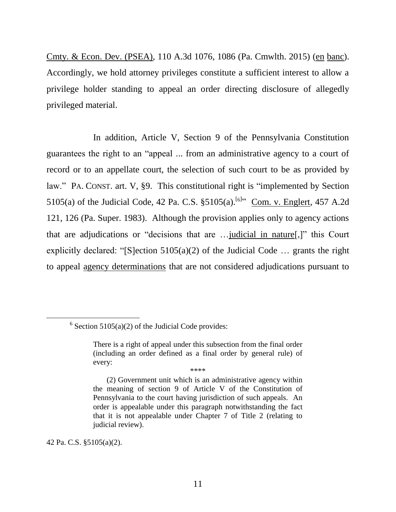Cmty. & Econ. Dev. (PSEA), 110 A.3d 1076, 1086 (Pa. Cmwlth. 2015) (en banc). Accordingly, we hold attorney privileges constitute a sufficient interest to allow a privilege holder standing to appeal an order directing disclosure of allegedly privileged material.

In addition, Article V, Section 9 of the Pennsylvania Constitution guarantees the right to an "appeal ... from an administrative agency to a court of record or to an appellate court, the selection of such court to be as provided by law." PA. CONST. art. V, §9. This constitutional right is "implemented by Section 5105(a) of the Judicial Code, 42 Pa. C.S.  $\S5105(a)$ . <sup>[6]</sup> Com. v. Englert, 457 A.2d 121, 126 (Pa. Super. 1983). Although the provision applies only to agency actions that are adjudications or "decisions that are …judicial in nature[,]" this Court explicitly declared: "[S]ection  $5105(a)(2)$  of the Judicial Code ... grants the right to appeal agency determinations that are not considered adjudications pursuant to

42 Pa. C.S. §5105(a)(2).

 $\overline{a}$ 

 $6$  Section 5105(a)(2) of the Judicial Code provides:

There is a right of appeal under this subsection from the final order (including an order defined as a final order by general rule) of every: \*\*\*\*

<sup>(2)</sup> Government unit which is an administrative agency within the meaning of section 9 of Article V of the Constitution of Pennsylvania to the court having jurisdiction of such appeals. An order is appealable under this paragraph notwithstanding the fact that it is not appealable under Chapter 7 of Title 2 (relating to judicial review).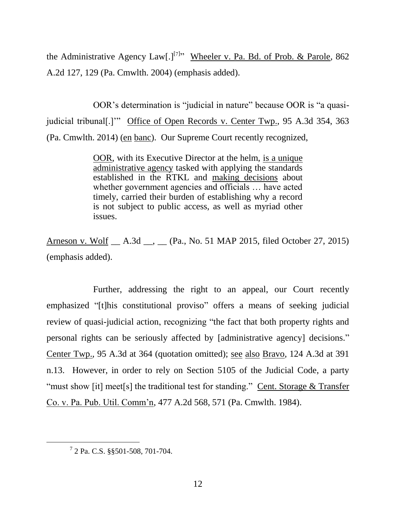the Administrative Agency Law[.]<sup>[7]</sup><sup>,</sup> Wheeler v. Pa. Bd. of Prob. & Parole, 862 A.2d 127, 129 (Pa. Cmwlth. 2004) (emphasis added).

OOR's determination is "judicial in nature" because OOR is "a quasijudicial tribunal<sup>[.]</sup>" Office of Open Records v. Center Twp., 95 A.3d 354, 363 (Pa. Cmwlth. 2014) (en banc). Our Supreme Court recently recognized,

> OOR, with its Executive Director at the helm, is a unique administrative agency tasked with applying the standards established in the RTKL and making decisions about whether government agencies and officials … have acted timely, carried their burden of establishing why a record is not subject to public access, as well as myriad other issues.

Arneson v. Wolf \_\_ A.3d \_\_, \_\_ (Pa., No. 51 MAP 2015, filed October 27, 2015) (emphasis added).

Further, addressing the right to an appeal, our Court recently emphasized "[t]his constitutional proviso" offers a means of seeking judicial review of quasi-judicial action, recognizing "the fact that both property rights and personal rights can be seriously affected by [administrative agency] decisions." Center Twp., 95 A.3d at 364 (quotation omitted); see also Bravo, 124 A.3d at 391 n.13. However, in order to rely on Section 5105 of the Judicial Code, a party "must show [it] meet[s] the traditional test for standing." Cent. Storage  $&$  Transfer Co. v. Pa. Pub. Util. Comm'n, 477 A.2d 568, 571 (Pa. Cmwlth. 1984).

 $\overline{a}$ 

<sup>7</sup> 2 Pa. C.S. §§501-508, 701-704.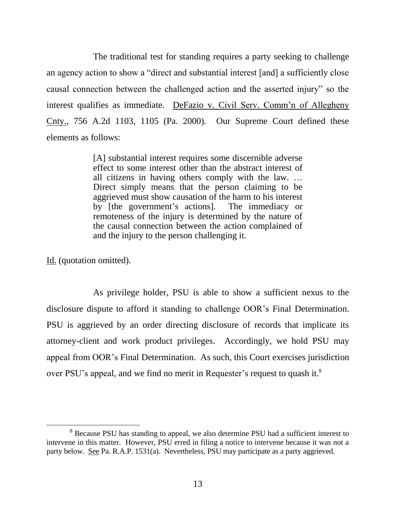The traditional test for standing requires a party seeking to challenge an agency action to show a "direct and substantial interest [and] a sufficiently close causal connection between the challenged action and the asserted injury" so the interest qualifies as immediate. DeFazio v. Civil Serv. Comm'n of Allegheny Cnty., 756 A.2d 1103, 1105 (Pa. 2000). Our Supreme Court defined these elements as follows:

> [A] substantial interest requires some discernible adverse effect to some interest other than the abstract interest of all citizens in having others comply with the law. … Direct simply means that the person claiming to be aggrieved must show causation of the harm to his interest by [the government's actions]. The immediacy or remoteness of the injury is determined by the nature of the causal connection between the action complained of and the injury to the person challenging it.

Id. (quotation omitted).

l

As privilege holder, PSU is able to show a sufficient nexus to the disclosure dispute to afford it standing to challenge OOR's Final Determination. PSU is aggrieved by an order directing disclosure of records that implicate its attorney-client and work product privileges. Accordingly, we hold PSU may appeal from OOR's Final Determination. As such, this Court exercises jurisdiction over PSU's appeal, and we find no merit in Requester's request to quash it.<sup>8</sup>

<sup>&</sup>lt;sup>8</sup> Because PSU has standing to appeal, we also determine PSU had a sufficient interest to intervene in this matter. However, PSU erred in filing a notice to intervene because it was not a party below. See Pa. R.A.P. 1531(a). Nevertheless, PSU may participate as a party aggrieved.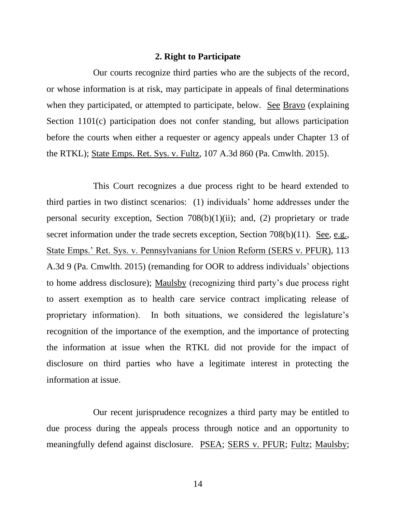#### **2. Right to Participate**

Our courts recognize third parties who are the subjects of the record, or whose information is at risk, may participate in appeals of final determinations when they participated, or attempted to participate, below. See Bravo (explaining Section 1101(c) participation does not confer standing, but allows participation before the courts when either a requester or agency appeals under Chapter 13 of the RTKL); State Emps. Ret. Sys. v. Fultz, 107 A.3d 860 (Pa. Cmwlth. 2015).

This Court recognizes a due process right to be heard extended to third parties in two distinct scenarios: (1) individuals' home addresses under the personal security exception, Section 708(b)(1)(ii); and, (2) proprietary or trade secret information under the trade secrets exception, Section 708(b)(11). See, e.g., State Emps.' Ret. Sys. v. Pennsylvanians for Union Reform (SERS v. PFUR), 113 A.3d 9 (Pa. Cmwlth. 2015) (remanding for OOR to address individuals' objections to home address disclosure); Maulsby (recognizing third party's due process right to assert exemption as to health care service contract implicating release of proprietary information). In both situations, we considered the legislature's recognition of the importance of the exemption, and the importance of protecting the information at issue when the RTKL did not provide for the impact of disclosure on third parties who have a legitimate interest in protecting the information at issue.

Our recent jurisprudence recognizes a third party may be entitled to due process during the appeals process through notice and an opportunity to meaningfully defend against disclosure. PSEA; SERS v. PFUR; Fultz; Maulsby;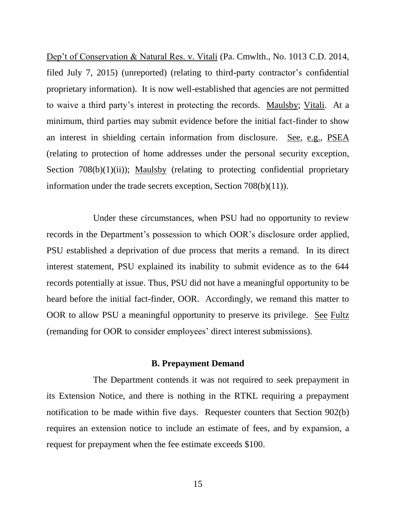Dep't of Conservation & Natural Res. v. Vitali (Pa. Cmwlth., No. 1013 C.D. 2014, filed July 7, 2015) (unreported) (relating to third-party contractor's confidential proprietary information). It is now well-established that agencies are not permitted to waive a third party's interest in protecting the records. Maulsby; Vitali. At a minimum, third parties may submit evidence before the initial fact-finder to show an interest in shielding certain information from disclosure. See, e.g., PSEA (relating to protection of home addresses under the personal security exception, Section  $708(b)(1)(ii)$ ; Maulsby (relating to protecting confidential proprietary information under the trade secrets exception, Section 708(b)(11)).

Under these circumstances, when PSU had no opportunity to review records in the Department's possession to which OOR's disclosure order applied, PSU established a deprivation of due process that merits a remand. In its direct interest statement, PSU explained its inability to submit evidence as to the 644 records potentially at issue. Thus, PSU did not have a meaningful opportunity to be heard before the initial fact-finder, OOR. Accordingly, we remand this matter to OOR to allow PSU a meaningful opportunity to preserve its privilege. See Fultz (remanding for OOR to consider employees' direct interest submissions).

#### **B. Prepayment Demand**

The Department contends it was not required to seek prepayment in its Extension Notice, and there is nothing in the RTKL requiring a prepayment notification to be made within five days. Requester counters that Section 902(b) requires an extension notice to include an estimate of fees, and by expansion, a request for prepayment when the fee estimate exceeds \$100.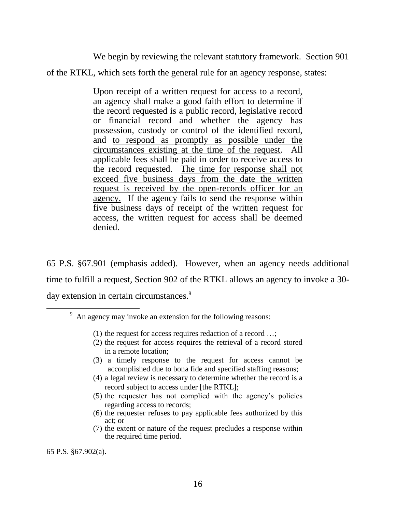We begin by reviewing the relevant statutory framework. Section 901

of the RTKL, which sets forth the general rule for an agency response, states:

Upon receipt of a written request for access to a record, an agency shall make a good faith effort to determine if the record requested is a public record, legislative record or financial record and whether the agency has possession, custody or control of the identified record, and to respond as promptly as possible under the circumstances existing at the time of the request. All applicable fees shall be paid in order to receive access to the record requested. The time for response shall not exceed five business days from the date the written request is received by the open-records officer for an agency. If the agency fails to send the response within five business days of receipt of the written request for access, the written request for access shall be deemed denied.

65 P.S. §67.901 (emphasis added). However, when an agency needs additional time to fulfill a request, Section 902 of the RTKL allows an agency to invoke a 30 day extension in certain circumstances.<sup>9</sup>

- (1) the request for access requires redaction of a record …;
- (2) the request for access requires the retrieval of a record stored in a remote location;
- (3) a timely response to the request for access cannot be accomplished due to bona fide and specified staffing reasons;
- (4) a legal review is necessary to determine whether the record is a record subject to access under [the RTKL];
- (5) the requester has not complied with the agency's policies regarding access to records;
- (6) the requester refuses to pay applicable fees authorized by this act; or
- (7) the extent or nature of the request precludes a response within the required time period.

65 P.S. §67.902(a).

 $\overline{a}$ 

 $9<sup>9</sup>$  An agency may invoke an extension for the following reasons: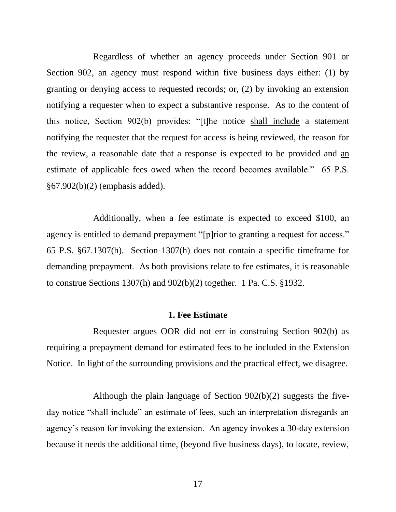Regardless of whether an agency proceeds under Section 901 or Section 902, an agency must respond within five business days either: (1) by granting or denying access to requested records; or, (2) by invoking an extension notifying a requester when to expect a substantive response. As to the content of this notice, Section 902(b) provides: "[t]he notice shall include a statement notifying the requester that the request for access is being reviewed, the reason for the review, a reasonable date that a response is expected to be provided and an estimate of applicable fees owed when the record becomes available." 65 P.S. §67.902(b)(2) (emphasis added).

Additionally, when a fee estimate is expected to exceed \$100, an agency is entitled to demand prepayment "[p]rior to granting a request for access." 65 P.S. §67.1307(h). Section 1307(h) does not contain a specific timeframe for demanding prepayment. As both provisions relate to fee estimates, it is reasonable to construe Sections 1307(h) and 902(b)(2) together. 1 Pa. C.S. §1932.

#### **1. Fee Estimate**

Requester argues OOR did not err in construing Section 902(b) as requiring a prepayment demand for estimated fees to be included in the Extension Notice. In light of the surrounding provisions and the practical effect, we disagree.

Although the plain language of Section 902(b)(2) suggests the fiveday notice "shall include" an estimate of fees, such an interpretation disregards an agency's reason for invoking the extension. An agency invokes a 30-day extension because it needs the additional time, (beyond five business days), to locate, review,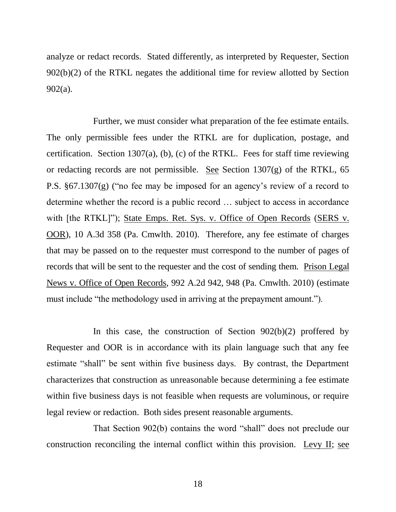analyze or redact records. Stated differently, as interpreted by Requester, Section 902(b)(2) of the RTKL negates the additional time for review allotted by Section 902(a).

Further, we must consider what preparation of the fee estimate entails. The only permissible fees under the RTKL are for duplication, postage, and certification. Section 1307(a), (b), (c) of the RTKL. Fees for staff time reviewing or redacting records are not permissible. See Section 1307(g) of the RTKL, 65 P.S. §67.1307(g) ("no fee may be imposed for an agency's review of a record to determine whether the record is a public record … subject to access in accordance with [the RTKL]"); State Emps. Ret. Sys. v. Office of Open Records (SERS v. OOR), 10 A.3d 358 (Pa. Cmwlth. 2010). Therefore, any fee estimate of charges that may be passed on to the requester must correspond to the number of pages of records that will be sent to the requester and the cost of sending them. Prison Legal News v. Office of Open Records, 992 A.2d 942, 948 (Pa. Cmwlth. 2010) (estimate must include "the methodology used in arriving at the prepayment amount.").

In this case, the construction of Section 902(b)(2) proffered by Requester and OOR is in accordance with its plain language such that any fee estimate "shall" be sent within five business days. By contrast, the Department characterizes that construction as unreasonable because determining a fee estimate within five business days is not feasible when requests are voluminous, or require legal review or redaction. Both sides present reasonable arguments.

That Section 902(b) contains the word "shall" does not preclude our construction reconciling the internal conflict within this provision. Levy II; see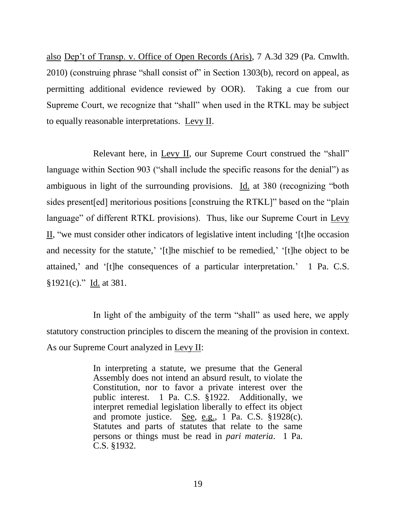also Dep't of Transp. v. Office of Open Records (Aris), 7 A.3d 329 (Pa. Cmwlth. 2010) (construing phrase "shall consist of" in Section 1303(b), record on appeal, as permitting additional evidence reviewed by OOR). Taking a cue from our Supreme Court, we recognize that "shall" when used in the RTKL may be subject to equally reasonable interpretations. Levy II.

Relevant here, in Levy II, our Supreme Court construed the "shall" language within Section 903 ("shall include the specific reasons for the denial") as ambiguous in light of the surrounding provisions. Id. at 380 (recognizing "both sides present[ed] meritorious positions [construing the RTKL]" based on the "plain language" of different RTKL provisions). Thus, like our Supreme Court in Levy II, "we must consider other indicators of legislative intent including '[t]he occasion and necessity for the statute,' '[t]he mischief to be remedied,' '[t]he object to be attained,' and '[t]he consequences of a particular interpretation.' 1 Pa. C.S. §1921(c)." Id. at 381.

In light of the ambiguity of the term "shall" as used here, we apply statutory construction principles to discern the meaning of the provision in context. As our Supreme Court analyzed in Levy II:

> In interpreting a statute, we presume that the General Assembly does not intend an absurd result, to violate the Constitution, nor to favor a private interest over the public interest. 1 Pa. C.S. §1922. Additionally, we interpret remedial legislation liberally to effect its object and promote justice. See, e.g., 1 Pa. C.S. §1928(c). Statutes and parts of statutes that relate to the same persons or things must be read in *pari materia*. 1 Pa. C.S. §1932.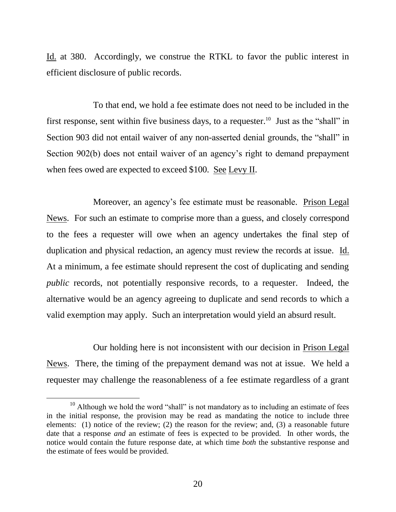Id. at 380. Accordingly, we construe the RTKL to favor the public interest in efficient disclosure of public records.

To that end, we hold a fee estimate does not need to be included in the first response, sent within five business days, to a requester.<sup>10</sup> Just as the "shall" in Section 903 did not entail waiver of any non-asserted denial grounds, the "shall" in Section 902(b) does not entail waiver of an agency's right to demand prepayment when fees owed are expected to exceed \$100. See Levy II.

Moreover, an agency's fee estimate must be reasonable. Prison Legal News. For such an estimate to comprise more than a guess, and closely correspond to the fees a requester will owe when an agency undertakes the final step of duplication and physical redaction, an agency must review the records at issue. Id. At a minimum, a fee estimate should represent the cost of duplicating and sending *public* records, not potentially responsive records, to a requester. Indeed, the alternative would be an agency agreeing to duplicate and send records to which a valid exemption may apply. Such an interpretation would yield an absurd result.

Our holding here is not inconsistent with our decision in Prison Legal News. There, the timing of the prepayment demand was not at issue. We held a requester may challenge the reasonableness of a fee estimate regardless of a grant

 $\overline{a}$ 

<sup>&</sup>lt;sup>10</sup> Although we hold the word "shall" is not mandatory as to including an estimate of fees in the initial response, the provision may be read as mandating the notice to include three elements: (1) notice of the review; (2) the reason for the review; and, (3) a reasonable future date that a response *and* an estimate of fees is expected to be provided. In other words, the notice would contain the future response date, at which time *both* the substantive response and the estimate of fees would be provided.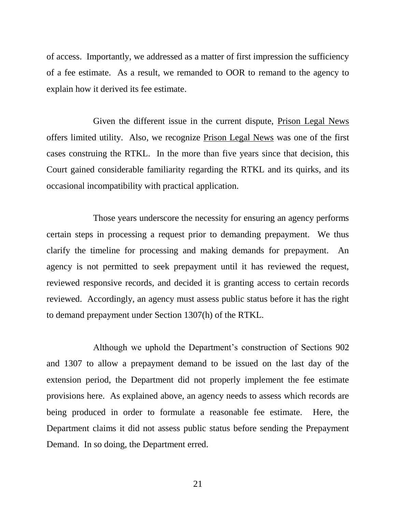of access. Importantly, we addressed as a matter of first impression the sufficiency of a fee estimate. As a result, we remanded to OOR to remand to the agency to explain how it derived its fee estimate.

Given the different issue in the current dispute, Prison Legal News offers limited utility. Also, we recognize Prison Legal News was one of the first cases construing the RTKL. In the more than five years since that decision, this Court gained considerable familiarity regarding the RTKL and its quirks, and its occasional incompatibility with practical application.

Those years underscore the necessity for ensuring an agency performs certain steps in processing a request prior to demanding prepayment. We thus clarify the timeline for processing and making demands for prepayment. An agency is not permitted to seek prepayment until it has reviewed the request, reviewed responsive records, and decided it is granting access to certain records reviewed. Accordingly, an agency must assess public status before it has the right to demand prepayment under Section 1307(h) of the RTKL.

Although we uphold the Department's construction of Sections 902 and 1307 to allow a prepayment demand to be issued on the last day of the extension period, the Department did not properly implement the fee estimate provisions here. As explained above, an agency needs to assess which records are being produced in order to formulate a reasonable fee estimate. Here, the Department claims it did not assess public status before sending the Prepayment Demand. In so doing, the Department erred.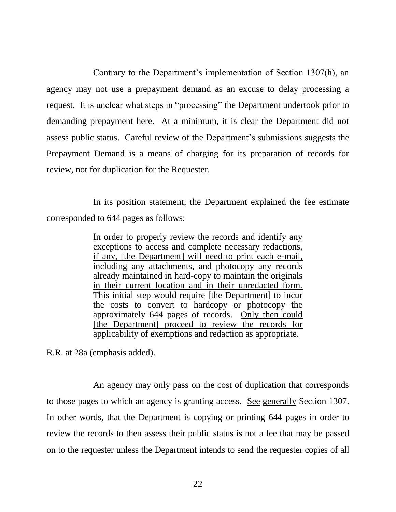Contrary to the Department's implementation of Section 1307(h), an agency may not use a prepayment demand as an excuse to delay processing a request. It is unclear what steps in "processing" the Department undertook prior to demanding prepayment here. At a minimum, it is clear the Department did not assess public status. Careful review of the Department's submissions suggests the Prepayment Demand is a means of charging for its preparation of records for review, not for duplication for the Requester.

In its position statement, the Department explained the fee estimate corresponded to 644 pages as follows:

> In order to properly review the records and identify any exceptions to access and complete necessary redactions, if any, [the Department] will need to print each e-mail, including any attachments, and photocopy any records already maintained in hard-copy to maintain the originals in their current location and in their unredacted form. This initial step would require [the Department] to incur the costs to convert to hardcopy or photocopy the approximately 644 pages of records. Only then could [the Department] proceed to review the records for applicability of exemptions and redaction as appropriate.

R.R. at 28a (emphasis added).

An agency may only pass on the cost of duplication that corresponds to those pages to which an agency is granting access. See generally Section 1307. In other words, that the Department is copying or printing 644 pages in order to review the records to then assess their public status is not a fee that may be passed on to the requester unless the Department intends to send the requester copies of all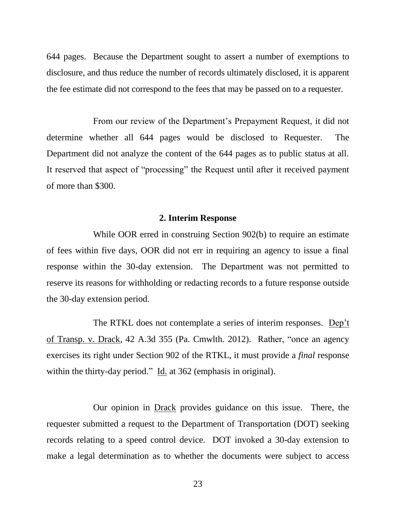644 pages. Because the Department sought to assert a number of exemptions to disclosure, and thus reduce the number of records ultimately disclosed, it is apparent the fee estimate did not correspond to the fees that may be passed on to a requester.

From our review of the Department's Prepayment Request, it did not determine whether all 644 pages would be disclosed to Requester. The Department did not analyze the content of the 644 pages as to public status at all. It reserved that aspect of "processing" the Request until after it received payment of more than \$300.

#### **2. Interim Response**

While OOR erred in construing Section 902(b) to require an estimate of fees within five days, OOR did not err in requiring an agency to issue a final response within the 30-day extension. The Department was not permitted to reserve its reasons for withholding or redacting records to a future response outside the 30-day extension period.

The RTKL does not contemplate a series of interim responses. Dep't of Transp. v. Drack, 42 A.3d 355 (Pa. Cmwlth. 2012). Rather, "once an agency exercises its right under Section 902 of the RTKL, it must provide a *final* response within the thirty-day period." Id. at 362 (emphasis in original).

Our opinion in Drack provides guidance on this issue. There, the requester submitted a request to the Department of Transportation (DOT) seeking records relating to a speed control device. DOT invoked a 30-day extension to make a legal determination as to whether the documents were subject to access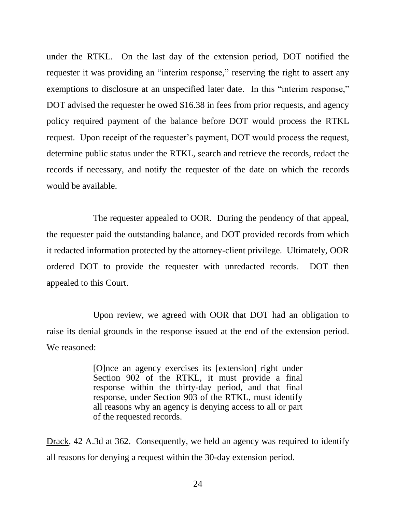under the RTKL. On the last day of the extension period, DOT notified the requester it was providing an "interim response," reserving the right to assert any exemptions to disclosure at an unspecified later date. In this "interim response," DOT advised the requester he owed \$16.38 in fees from prior requests, and agency policy required payment of the balance before DOT would process the RTKL request. Upon receipt of the requester's payment, DOT would process the request, determine public status under the RTKL, search and retrieve the records, redact the records if necessary, and notify the requester of the date on which the records would be available.

The requester appealed to OOR. During the pendency of that appeal, the requester paid the outstanding balance, and DOT provided records from which it redacted information protected by the attorney-client privilege. Ultimately, OOR ordered DOT to provide the requester with unredacted records. DOT then appealed to this Court.

Upon review, we agreed with OOR that DOT had an obligation to raise its denial grounds in the response issued at the end of the extension period. We reasoned:

> [O]nce an agency exercises its [extension] right under Section 902 of the RTKL, it must provide a final response within the thirty-day period, and that final response, under Section 903 of the RTKL, must identify all reasons why an agency is denying access to all or part of the requested records.

Drack, 42 A.3d at 362. Consequently, we held an agency was required to identify all reasons for denying a request within the 30-day extension period.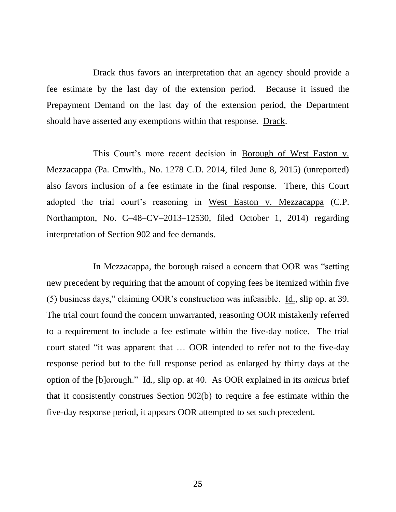Drack thus favors an interpretation that an agency should provide a fee estimate by the last day of the extension period. Because it issued the Prepayment Demand on the last day of the extension period, the Department should have asserted any exemptions within that response. Drack.

This Court's more recent decision in Borough of West Easton v. Mezzacappa (Pa. Cmwlth., No. 1278 C.D. 2014, filed June 8, 2015) (unreported) also favors inclusion of a fee estimate in the final response. There, this Court adopted the trial court's reasoning in West Easton v. Mezzacappa (C.P. Northampton, No. C–48–CV–2013–12530, filed October 1, 2014) regarding interpretation of Section 902 and fee demands.

In Mezzacappa, the borough raised a concern that OOR was "setting new precedent by requiring that the amount of copying fees be itemized within five (5) business days," claiming OOR's construction was infeasible. Id., slip op. at 39. The trial court found the concern unwarranted, reasoning OOR mistakenly referred to a requirement to include a fee estimate within the five-day notice. The trial court stated "it was apparent that … OOR intended to refer not to the five-day response period but to the full response period as enlarged by thirty days at the option of the [b]orough." Id., slip op. at 40. As OOR explained in its *amicus* brief that it consistently construes Section 902(b) to require a fee estimate within the five-day response period, it appears OOR attempted to set such precedent.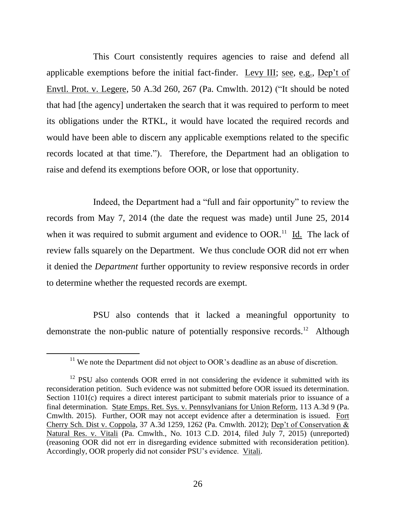This Court consistently requires agencies to raise and defend all applicable exemptions before the initial fact-finder. Levy III; see, e.g., Dep't of Envtl. Prot. v. Legere, 50 A.3d 260, 267 (Pa. Cmwlth. 2012) ("It should be noted that had [the agency] undertaken the search that it was required to perform to meet its obligations under the RTKL, it would have located the required records and would have been able to discern any applicable exemptions related to the specific records located at that time."). Therefore, the Department had an obligation to raise and defend its exemptions before OOR, or lose that opportunity.

Indeed, the Department had a "full and fair opportunity" to review the records from May 7, 2014 (the date the request was made) until June 25, 2014 when it was required to submit argument and evidence to  $OOR$ .<sup>11</sup> Id. The lack of review falls squarely on the Department. We thus conclude OOR did not err when it denied the *Department* further opportunity to review responsive records in order to determine whether the requested records are exempt.

PSU also contends that it lacked a meaningful opportunity to demonstrate the non-public nature of potentially responsive records.<sup>12</sup> Although

 $\overline{a}$ 

 $11$  We note the Department did not object to OOR's deadline as an abuse of discretion.

 $12$  PSU also contends OOR erred in not considering the evidence it submitted with its reconsideration petition. Such evidence was not submitted before OOR issued its determination. Section 1101(c) requires a direct interest participant to submit materials prior to issuance of a final determination. State Emps. Ret. Sys. v. Pennsylvanians for Union Reform, 113 A.3d 9 (Pa. Cmwlth. 2015). Further, OOR may not accept evidence after a determination is issued. Fort Cherry Sch. Dist v. Coppola, 37 A.3d 1259, 1262 (Pa. Cmwlth. 2012); Dep't of Conservation & Natural Res. v. Vitali (Pa. Cmwlth., No. 1013 C.D. 2014, filed July 7, 2015) (unreported) (reasoning OOR did not err in disregarding evidence submitted with reconsideration petition). Accordingly, OOR properly did not consider PSU's evidence. Vitali.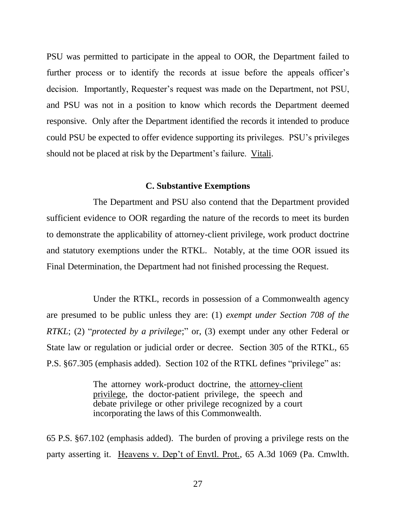PSU was permitted to participate in the appeal to OOR, the Department failed to further process or to identify the records at issue before the appeals officer's decision. Importantly, Requester's request was made on the Department, not PSU, and PSU was not in a position to know which records the Department deemed responsive. Only after the Department identified the records it intended to produce could PSU be expected to offer evidence supporting its privileges. PSU's privileges should not be placed at risk by the Department's failure. Vitali.

### **C. Substantive Exemptions**

The Department and PSU also contend that the Department provided sufficient evidence to OOR regarding the nature of the records to meet its burden to demonstrate the applicability of attorney-client privilege, work product doctrine and statutory exemptions under the RTKL. Notably, at the time OOR issued its Final Determination, the Department had not finished processing the Request.

Under the RTKL, records in possession of a Commonwealth agency are presumed to be public unless they are: (1) *exempt under Section 708 of the RTKL*; (2) "*protected by a privilege*;" or, (3) exempt under any other Federal or State law or regulation or judicial order or decree. Section 305 of the RTKL, 65 P.S. §67.305 (emphasis added). Section 102 of the RTKL defines "privilege" as:

> The attorney work-product doctrine, the attorney-client privilege, the doctor-patient privilege, the speech and debate privilege or other privilege recognized by a court incorporating the laws of this Commonwealth.

65 P.S. §67.102 (emphasis added). The burden of proving a privilege rests on the party asserting it. Heavens v. Dep't of Envtl. Prot., 65 A.3d 1069 (Pa. Cmwlth.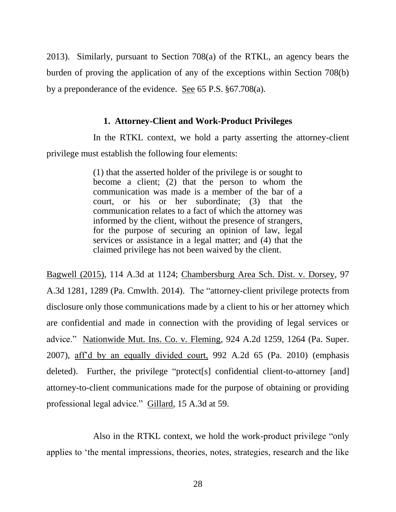2013). Similarly, pursuant to Section 708(a) of the RTKL, an agency bears the burden of proving the application of any of the exceptions within Section 708(b) by a preponderance of the evidence. See 65 P.S. §67.708(a).

### **1. Attorney-Client and Work-Product Privileges**

In the RTKL context, we hold a party asserting the attorney-client privilege must establish the following four elements:

> (1) that the asserted holder of the privilege is or sought to become a client; (2) that the person to whom the communication was made is a member of the bar of a court, or his or her subordinate; (3) that the communication relates to a fact of which the attorney was informed by the client, without the presence of strangers, for the purpose of securing an opinion of law, legal services or assistance in a legal matter; and (4) that the claimed privilege has not been waived by the client.

Bagwell (2015), 114 A.3d at 1124; Chambersburg Area Sch. Dist. v. Dorsey, 97 A.3d 1281, 1289 (Pa. Cmwlth. 2014). The "attorney-client privilege protects from disclosure only those communications made by a client to his or her attorney which are confidential and made in connection with the providing of legal services or advice." Nationwide Mut. Ins. Co. v. Fleming, 924 A.2d 1259, 1264 (Pa. Super. 2007), aff'd by an equally divided court, 992 A.2d 65 (Pa. 2010) (emphasis deleted). Further, the privilege "protect[s] confidential client-to-attorney [and] attorney-to-client communications made for the purpose of obtaining or providing professional legal advice." Gillard, 15 A.3d at 59.

Also in the RTKL context, we hold the work-product privilege "only applies to 'the mental impressions, theories, notes, strategies, research and the like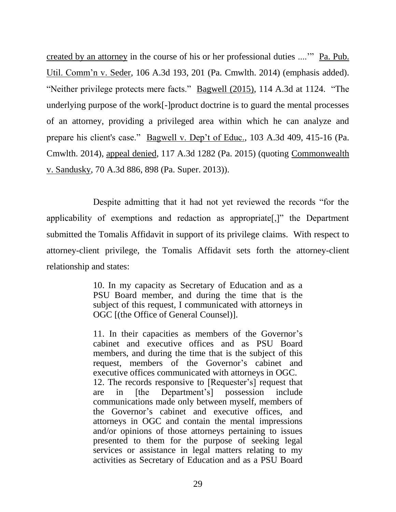created by an attorney in the course of his or her professional duties ....'" Pa. Pub. Util. Comm'n v. Seder*,* 106 A.3d 193, 201 (Pa. Cmwlth. 2014) (emphasis added). "Neither privilege protects mere facts." Bagwell (2015), 114 A.3d at 1124. "The underlying purpose of the work[-]product doctrine is to guard the mental processes of an attorney, providing a privileged area within which he can analyze and prepare his client's case." Bagwell v. Dep't of Educ., 103 A.3d 409, 415-16 (Pa. Cmwlth. 2014), appeal denied, 117 A.3d 1282 (Pa. 2015) (quoting Commonwealth v. Sandusky, 70 A.3d 886, 898 (Pa. Super. 2013)).

Despite admitting that it had not yet reviewed the records "for the applicability of exemptions and redaction as appropriate[,]" the Department submitted the Tomalis Affidavit in support of its privilege claims. With respect to attorney-client privilege, the Tomalis Affidavit sets forth the attorney-client relationship and states:

> 10. In my capacity as Secretary of Education and as a PSU Board member, and during the time that is the subject of this request, I communicated with attorneys in OGC [(the Office of General Counsel)].

> 11. In their capacities as members of the Governor's cabinet and executive offices and as PSU Board members, and during the time that is the subject of this request, members of the Governor's cabinet and executive offices communicated with attorneys in OGC. 12. The records responsive to [Requester's] request that are in [the Department's] possession include communications made only between myself, members of the Governor's cabinet and executive offices, and attorneys in OGC and contain the mental impressions and/or opinions of those attorneys pertaining to issues presented to them for the purpose of seeking legal services or assistance in legal matters relating to my activities as Secretary of Education and as a PSU Board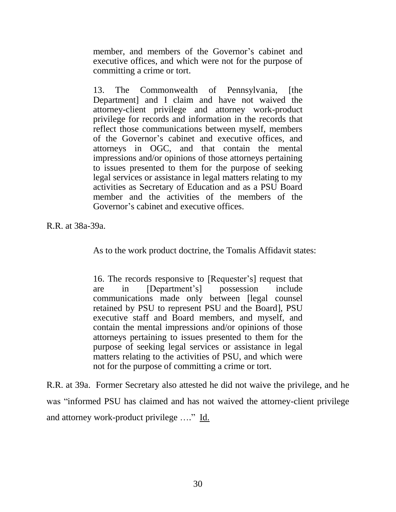member, and members of the Governor's cabinet and executive offices, and which were not for the purpose of committing a crime or tort.

13. The Commonwealth of Pennsylvania, [the Department] and I claim and have not waived the attorney-client privilege and attorney work-product privilege for records and information in the records that reflect those communications between myself, members of the Governor's cabinet and executive offices, and attorneys in OGC, and that contain the mental impressions and/or opinions of those attorneys pertaining to issues presented to them for the purpose of seeking legal services or assistance in legal matters relating to my activities as Secretary of Education and as a PSU Board member and the activities of the members of the Governor's cabinet and executive offices.

R.R. at 38a-39a.

As to the work product doctrine, the Tomalis Affidavit states:

16. The records responsive to [Requester's] request that are in [Department's] possession include communications made only between [legal counsel retained by PSU to represent PSU and the Board], PSU executive staff and Board members, and myself, and contain the mental impressions and/or opinions of those attorneys pertaining to issues presented to them for the purpose of seeking legal services or assistance in legal matters relating to the activities of PSU, and which were not for the purpose of committing a crime or tort.

R.R. at 39a. Former Secretary also attested he did not waive the privilege, and he was "informed PSU has claimed and has not waived the attorney-client privilege and attorney work-product privilege …." Id.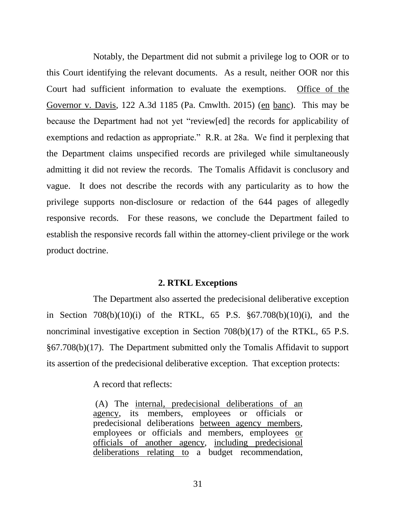Notably, the Department did not submit a privilege log to OOR or to this Court identifying the relevant documents. As a result, neither OOR nor this Court had sufficient information to evaluate the exemptions. Office of the Governor v. Davis, 122 A.3d 1185 (Pa. Cmwlth. 2015) (en banc). This may be because the Department had not yet "review[ed] the records for applicability of exemptions and redaction as appropriate." R.R. at 28a. We find it perplexing that the Department claims unspecified records are privileged while simultaneously admitting it did not review the records. The Tomalis Affidavit is conclusory and vague. It does not describe the records with any particularity as to how the privilege supports non-disclosure or redaction of the 644 pages of allegedly responsive records. For these reasons, we conclude the Department failed to establish the responsive records fall within the attorney-client privilege or the work product doctrine.

#### **2. RTKL Exceptions**

The Department also asserted the predecisional deliberative exception in Section 708(b)(10)(i) of the RTKL, 65 P.S. §67.708(b)(10)(i), and the noncriminal investigative exception in Section 708(b)(17) of the RTKL, 65 P.S. §67.708(b)(17). The Department submitted only the Tomalis Affidavit to support its assertion of the predecisional deliberative exception. That exception protects:

A record that reflects:

(A) The internal, predecisional deliberations of an agency, its members, employees or officials predecisional deliberations between agency members, employees or officials and members, employees or officials of another agency, including predecisional deliberations relating to a budget recommendation,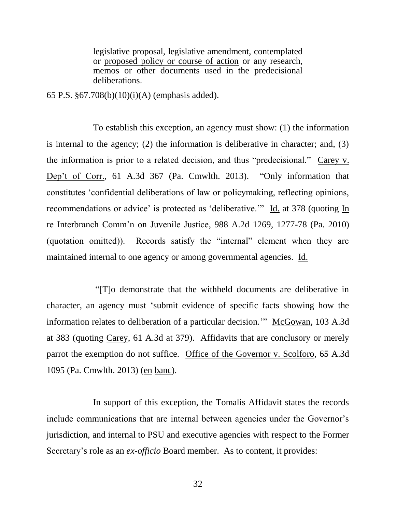legislative proposal, legislative amendment, contemplated or proposed policy or course of action or any research, memos or other documents used in the predecisional deliberations.

65 P.S. §67.708(b)(10)(i)(A) (emphasis added).

To establish this exception, an agency must show: (1) the information is internal to the agency; (2) the information is deliberative in character; and, (3) the information is prior to a related decision, and thus "predecisional." Carey v. Dep't of Corr., 61 A.3d 367 (Pa. Cmwlth. 2013). "Only information that constitutes 'confidential deliberations of law or policymaking, reflecting opinions, recommendations or advice' is protected as 'deliberative.'" Id. at 378 (quoting In re Interbranch Comm'n on Juvenile Justice, 988 A.2d 1269, 1277-78 (Pa. 2010) (quotation omitted)). Records satisfy the "internal" element when they are maintained internal to one agency or among governmental agencies. Id.

"[T]o demonstrate that the withheld documents are deliberative in character, an agency must 'submit evidence of specific facts showing how the information relates to deliberation of a particular decision." McGowan, 103 A.3d at 383 (quoting Carey, 61 A.3d at 379). Affidavits that are conclusory or merely parrot the exemption do not suffice. Office of the Governor v. Scolforo, 65 A.3d 1095 (Pa. Cmwlth. 2013) (en banc).

In support of this exception, the Tomalis Affidavit states the records include communications that are internal between agencies under the Governor's jurisdiction, and internal to PSU and executive agencies with respect to the Former Secretary's role as an *ex-officio* Board member. As to content, it provides: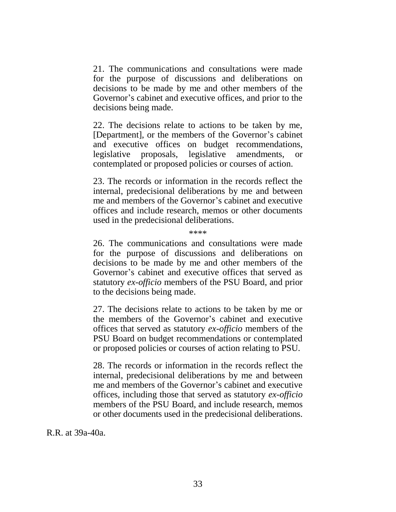21. The communications and consultations were made for the purpose of discussions and deliberations on decisions to be made by me and other members of the Governor's cabinet and executive offices, and prior to the decisions being made.

22. The decisions relate to actions to be taken by me, [Department], or the members of the Governor's cabinet and executive offices on budget recommendations, legislative proposals, legislative amendments, or contemplated or proposed policies or courses of action.

23. The records or information in the records reflect the internal, predecisional deliberations by me and between me and members of the Governor's cabinet and executive offices and include research, memos or other documents used in the predecisional deliberations.

\*\*\*\*

26. The communications and consultations were made for the purpose of discussions and deliberations on decisions to be made by me and other members of the Governor's cabinet and executive offices that served as statutory *ex-officio* members of the PSU Board, and prior to the decisions being made.

27. The decisions relate to actions to be taken by me or the members of the Governor's cabinet and executive offices that served as statutory *ex-officio* members of the PSU Board on budget recommendations or contemplated or proposed policies or courses of action relating to PSU.

28. The records or information in the records reflect the internal, predecisional deliberations by me and between me and members of the Governor's cabinet and executive offices, including those that served as statutory *ex-officio* members of the PSU Board, and include research, memos or other documents used in the predecisional deliberations.

R.R. at 39a-40a.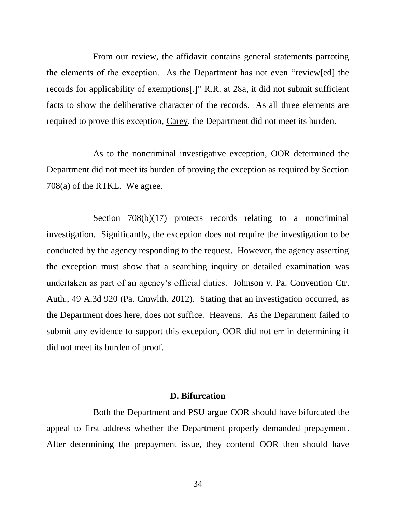From our review, the affidavit contains general statements parroting the elements of the exception. As the Department has not even "review[ed] the records for applicability of exemptions[,]" R.R. at 28a, it did not submit sufficient facts to show the deliberative character of the records. As all three elements are required to prove this exception, Carey, the Department did not meet its burden.

As to the noncriminal investigative exception, OOR determined the Department did not meet its burden of proving the exception as required by Section 708(a) of the RTKL. We agree.

Section 708(b)(17) protects records relating to a noncriminal investigation. Significantly, the exception does not require the investigation to be conducted by the agency responding to the request. However, the agency asserting the exception must show that a searching inquiry or detailed examination was undertaken as part of an agency's official duties. Johnson v. Pa. Convention Ctr. Auth., 49 A.3d 920 (Pa. Cmwlth. 2012). Stating that an investigation occurred, as the Department does here, does not suffice. Heavens. As the Department failed to submit any evidence to support this exception, OOR did not err in determining it did not meet its burden of proof.

### **D. Bifurcation**

Both the Department and PSU argue OOR should have bifurcated the appeal to first address whether the Department properly demanded prepayment. After determining the prepayment issue, they contend OOR then should have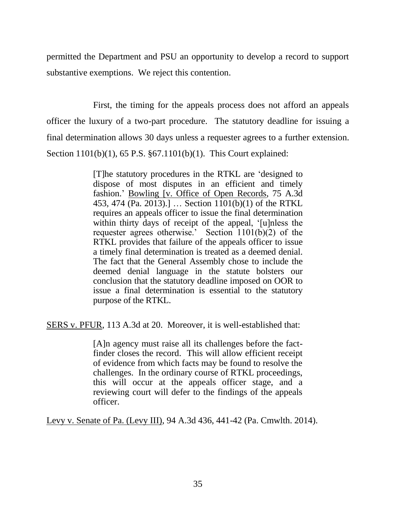permitted the Department and PSU an opportunity to develop a record to support substantive exemptions. We reject this contention.

First, the timing for the appeals process does not afford an appeals officer the luxury of a two-part procedure. The statutory deadline for issuing a final determination allows 30 days unless a requester agrees to a further extension. Section 1101(b)(1), 65 P.S. §67.1101(b)(1). This Court explained:

> [T]he statutory procedures in the RTKL are 'designed to dispose of most disputes in an efficient and timely fashion.' Bowling [v. Office of Open Records, 75 A.3d 453, 474 (Pa. 2013).] … Section 1101(b)(1) of the RTKL requires an appeals officer to issue the final determination within thirty days of receipt of the appeal, '[u]nless the requester agrees otherwise.' Section  $1101(b)(2)$  of the RTKL provides that failure of the appeals officer to issue a timely final determination is treated as a deemed denial. The fact that the General Assembly chose to include the deemed denial language in the statute bolsters our conclusion that the statutory deadline imposed on OOR to issue a final determination is essential to the statutory purpose of the RTKL.

SERS v. PFUR, 113 A.3d at 20. Moreover, it is well-established that:

[A]n agency must raise all its challenges before the factfinder closes the record. This will allow efficient receipt of evidence from which facts may be found to resolve the challenges. In the ordinary course of RTKL proceedings, this will occur at the appeals officer stage, and a reviewing court will defer to the findings of the appeals officer.

Levy v. Senate of Pa. (Levy III), 94 A.3d 436, 441-42 (Pa. Cmwlth. 2014).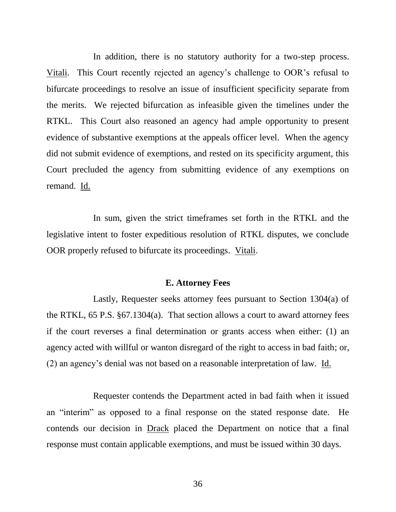In addition, there is no statutory authority for a two-step process. Vitali. This Court recently rejected an agency's challenge to OOR's refusal to bifurcate proceedings to resolve an issue of insufficient specificity separate from the merits. We rejected bifurcation as infeasible given the timelines under the RTKL. This Court also reasoned an agency had ample opportunity to present evidence of substantive exemptions at the appeals officer level. When the agency did not submit evidence of exemptions, and rested on its specificity argument, this Court precluded the agency from submitting evidence of any exemptions on remand. Id.

In sum, given the strict timeframes set forth in the RTKL and the legislative intent to foster expeditious resolution of RTKL disputes, we conclude OOR properly refused to bifurcate its proceedings. Vitali.

#### **E. Attorney Fees**

Lastly, Requester seeks attorney fees pursuant to Section 1304(a) of the RTKL, 65 P.S. §67.1304(a). That section allows a court to award attorney fees if the court reverses a final determination or grants access when either: (1) an agency acted with willful or wanton disregard of the right to access in bad faith; or, (2) an agency's denial was not based on a reasonable interpretation of law. Id.

Requester contends the Department acted in bad faith when it issued an "interim" as opposed to a final response on the stated response date. He contends our decision in Drack placed the Department on notice that a final response must contain applicable exemptions, and must be issued within 30 days.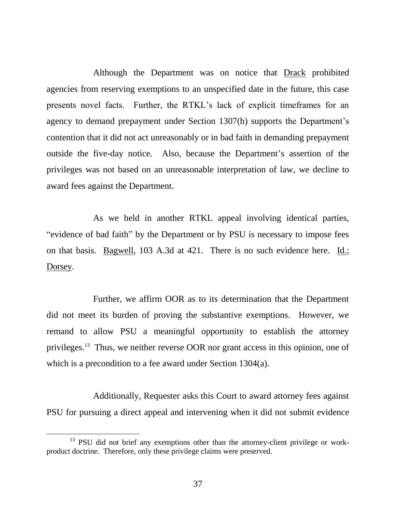Although the Department was on notice that Drack prohibited agencies from reserving exemptions to an unspecified date in the future, this case presents novel facts. Further, the RTKL's lack of explicit timeframes for an agency to demand prepayment under Section 1307(h) supports the Department's contention that it did not act unreasonably or in bad faith in demanding prepayment outside the five-day notice. Also, because the Department's assertion of the privileges was not based on an unreasonable interpretation of law, we decline to award fees against the Department.

As we held in another RTKL appeal involving identical parties, "evidence of bad faith" by the Department or by PSU is necessary to impose fees on that basis. Bagwell, 103 A.3d at 421. There is no such evidence here. Id.; Dorsey.

Further, we affirm OOR as to its determination that the Department did not meet its burden of proving the substantive exemptions. However, we remand to allow PSU a meaningful opportunity to establish the attorney privileges.<sup>13</sup> Thus, we neither reverse OOR nor grant access in this opinion, one of which is a precondition to a fee award under Section 1304(a).

Additionally, Requester asks this Court to award attorney fees against PSU for pursuing a direct appeal and intervening when it did not submit evidence

 $\overline{a}$ 

<sup>&</sup>lt;sup>13</sup> PSU did not brief any exemptions other than the attorney-client privilege or workproduct doctrine. Therefore, only these privilege claims were preserved.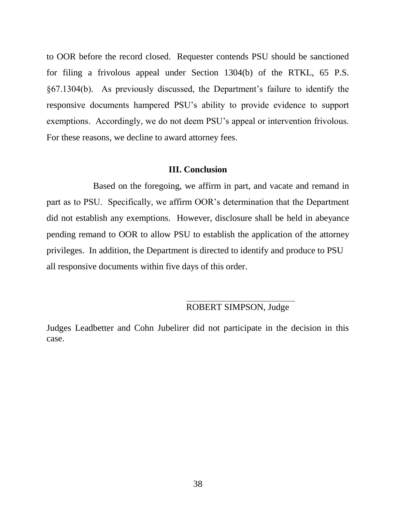to OOR before the record closed. Requester contends PSU should be sanctioned for filing a frivolous appeal under Section 1304(b) of the RTKL, 65 P.S. §67.1304(b). As previously discussed, the Department's failure to identify the responsive documents hampered PSU's ability to provide evidence to support exemptions. Accordingly, we do not deem PSU's appeal or intervention frivolous. For these reasons, we decline to award attorney fees.

#### **III. Conclusion**

Based on the foregoing, we affirm in part, and vacate and remand in part as to PSU. Specifically, we affirm OOR's determination that the Department did not establish any exemptions. However, disclosure shall be held in abeyance pending remand to OOR to allow PSU to establish the application of the attorney privileges. In addition, the Department is directed to identify and produce to PSU all responsive documents within five days of this order.

# ROBERT SIMPSON, Judge

Judges Leadbetter and Cohn Jubelirer did not participate in the decision in this case.

l,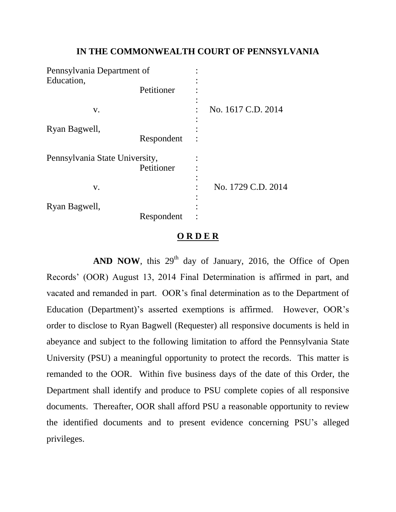## **IN THE COMMONWEALTH COURT OF PENNSYLVANIA**

| Pennsylvania Department of                   |            |   |                    |
|----------------------------------------------|------------|---|--------------------|
| Education,                                   |            |   |                    |
|                                              | Petitioner |   |                    |
| V.                                           |            |   | No. 1617 C.D. 2014 |
| Ryan Bagwell,                                |            | ٠ |                    |
|                                              | Respondent |   |                    |
| Pennsylvania State University,<br>Petitioner |            |   |                    |
|                                              |            |   |                    |
| V.                                           |            |   | No. 1729 C.D. 2014 |
| Ryan Bagwell,                                |            |   |                    |
|                                              | Respondent |   |                    |

## **O R D E R**

**AND NOW**, this  $29<sup>th</sup>$  day of January, 2016, the Office of Open Records' (OOR) August 13, 2014 Final Determination is affirmed in part, and vacated and remanded in part. OOR's final determination as to the Department of Education (Department)'s asserted exemptions is affirmed. However, OOR's order to disclose to Ryan Bagwell (Requester) all responsive documents is held in abeyance and subject to the following limitation to afford the Pennsylvania State University (PSU) a meaningful opportunity to protect the records. This matter is remanded to the OOR. Within five business days of the date of this Order, the Department shall identify and produce to PSU complete copies of all responsive documents. Thereafter, OOR shall afford PSU a reasonable opportunity to review the identified documents and to present evidence concerning PSU's alleged privileges.